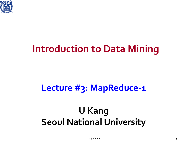

### **Introduction to Data Mining**

### **Lecture #3: MapReduce-1**

### **U Kang Seoul National University**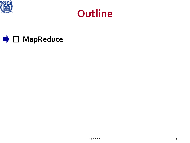



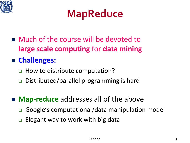

### **MapReduce**

■ Much of the course will be devoted to **large scale computing** for **data mining**

### **Challenges:**

- □ How to distribute computation?
- □ Distributed/parallel programming is hard

#### ■ **Map-reduce** addresses all of the above

- □ Google's computational/data manipulation model
- $\Box$  Elegant way to work with big data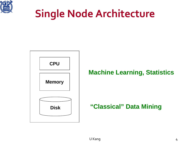

### **Single Node Architecture**



#### **Machine Learning, Statistics**

#### **"Classical" Data Mining**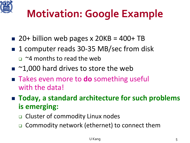

# **Motivation: Google Example**

- $\blacksquare$  20+ billion web pages x 20KB = 400+ TB
- 1 computer reads 30-35 MB/sec from disk
	- $\Box$  ~4 months to read the web
- $\blacksquare$   $\sim$ 1,000 hard drives to store the web
- Takes even more to **do** something useful with the data!
- Today, a standard architecture for such problems **is emerging:**
	- □ Cluster of commodity Linux nodes
	- □ Commodity network (ethernet) to connect them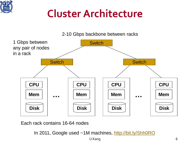

### **Cluster Architecture**



Each rack contains 16-64 nodes

In 2011, Google used ~1M machines, <http://bit.ly/Shh0RO>

U Kang 6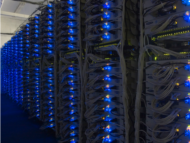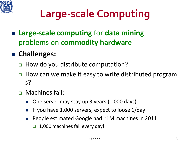

# **Large-scale Computing**

 **Large-scale computing** for **data mining**  problems on **commodity hardware**

### **Challenges:**

- □ How do you distribute computation?
- □ How can we make it easy to write distributed program s?
- Machines fail:
	- One server may stay up 3 years (1,000 days)
	- If you have 1,000 servers, expect to loose  $1/day$
	- **People estimated Google had**  $\sim$ **1M machines in 2011** 
		- □ 1,000 machines fail every day!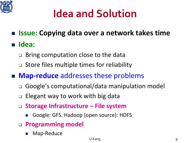

# **Idea and Solution**

**Issue: Copying data over a network takes time**

### **Idea:**

- **□** Bring computation close to the data
- **□** Store files multiple times for reliability
- **Map-reduce** addresses these problems
	- □ Google's computational/data manipulation model
	- $\Box$  Elegant way to work with big data
	- **Storage Infrastructure – File system**
		- Google: GFS. Hadoop (open source): HDFS
	- **Programming model**
		- Map-Reduce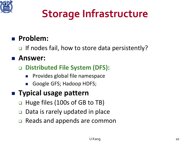

## **Storage Infrastructure**

### **Problem:**

□ If nodes fail, how to store data persistently?

#### **Answer:**

- **Distributed File System (DFS):**
	- **Provides global file namespace**
	- Google GFS; Hadoop HDFS;

#### **Typical usage pattern**

- □ Huge files (100s of GB to TB)
- □ Data is rarely updated in place
- □ Reads and appends are common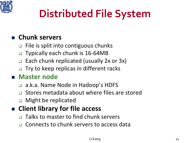

# **Distributed File System**

#### **Chunk servers**

- $\Box$  File is split into contiguous chunks
- □ Typically each chunk is 16-64MB
- $\Box$  Each chunk replicated (usually 2x or 3x)
- $\Box$  Try to keep replicas in different racks

#### **Master node**

- a.k.a. Name Node in Hadoop's HDFS
- Stores metadata about where files are stored
- **□** Might be replicated

#### **Client library for file access**

- $\Box$  Talks to master to find chunk servers
- **□ Connects to chunk servers to access data**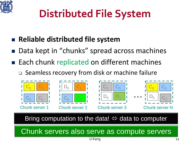

# **Distributed File System**

- **Reliable distributed file system**
- Data kept in "chunks" spread across machines
- Each chunk replicated on different machines
	- $\Box$  Seamless recovery from disk or machine failure



Bring computation to the data!  $\Leftrightarrow$  data to computer

#### Chunk servers also serve as compute servers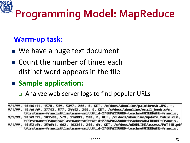# **Programming Model: MapReduce**

#### **Warm-up task:**

- We have a huge text document
- **E** Count the number of times each distinct word appears in the file

#### ■ Sample application:

Analyze web server logs to find popular URLs

9/1/99, 10:46:11, 1578, 509, 5397, 200, 0, GET, /cfdocs/akonline/paintbrush.JPG, -, 9/1/99, 10:46:49, 37703, 577, 24402, 200, 0, GET, /cfdocs/akonline/email book.cfm, tfirstname=francis&tlastname=smitt&tid=270&PASSWORD=teachme&USERNAME=francis. 9/1/99, 10:49:11, 181500, 579, 114331, 200, 0, GET, /cfdocs/akonline/update table.cfm, tfirstname=francis&tlastname=smitt&tid=270&PASSWORD=teachme&USERMAME=francis, 9/1/99, 10:52:04, 354641, 662, 163301, 200, 64, GET, /cfdocs/AKOMLINE/assess/PAT11B.pdf

tfirstname=francis&tlastname=smitt&tid=270&PASSWORD=teachme&USERNAME=francis,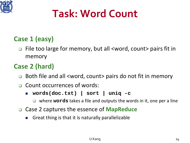

### **Task: Word Count**

#### **Case 1 (easy)**

□ File too large for memory, but all <word, count> pairs fit in memory

#### **Case 2 (hard)**

□ Both file and all <word, count> pairs do not fit in memory

- □ Count occurrences of words:
	- **words(doc.txt) | sort | uniq -c**
		- where **words** takes a file and outputs the words in it, one per a line
- Case 2 captures the essence of **MapReduce**
	- Great thing is that it is naturally parallelizable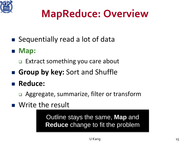

### **MapReduce: Overview**

- Sequentially read a lot of data
- **Map:**
	- □ Extract something you care about
- **Group by key:** Sort and Shuffle
- **Reduce:**
	- □ Aggregate, summarize, filter or transform
- **N** Write the result

Outline stays the same, **Map** and **Reduce** change to fit the problem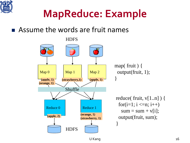

### **MapReduce: Example**

#### ■ Assume the words are fruit names

HDFS



map( fruit ) { output(fruit, 1);

reduce( fruit,  $v[1..n]$  ) { for( $i=1$ ;  $i \le n$ ;  $i++$ )  $sum = sum + v[i];$ output(fruit, sum);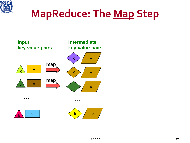

### **MapReduce: The Map Step**

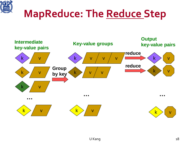



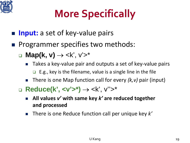

# **More Specifically**

- **Input:** a set of key-value pairs
- **Programmer specifies two methods:** 
	- **Map(k, v)**  $\rightarrow$  <k', v'>\*
		- Takes a key-value pair and outputs a set of key-value pairs
			- $\Box$  E.g., key is the filename, value is a single line in the file
		- There is one Map function call for every (k,v) pair (input)
	- **Reduce(k', <v'>\*)** → <k', v''>\*
		- **All values** *v'* **with same key** *k'* **are reduced together and processed**
		- There is one Reduce function call per unique key *k'*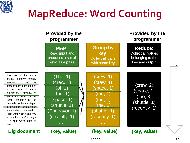

## **MapReduce: Word Counting**

|                                                                                                                                                                                                                                                                                                                                                                                                                     | <b>Provided by the</b><br>programmer                                                                                                      |                                                                                                                         | <b>Provided by the</b><br>programmer                                       |
|---------------------------------------------------------------------------------------------------------------------------------------------------------------------------------------------------------------------------------------------------------------------------------------------------------------------------------------------------------------------------------------------------------------------|-------------------------------------------------------------------------------------------------------------------------------------------|-------------------------------------------------------------------------------------------------------------------------|----------------------------------------------------------------------------|
|                                                                                                                                                                                                                                                                                                                                                                                                                     | <b>MAP:</b><br>Read input and<br>produces a set of<br>key-value pairs                                                                     | <b>Group by</b><br>key:<br><b>Collect all pairs</b><br>with same key                                                    | <b>Reduce:</b><br>Collect all values<br>belonging to the<br>key and output |
| The crew of the space<br>shuttle Endeavor recently<br>returned to Earth as<br>ambassadors, harbingers of<br>a new era of space<br>exploration. Scientists at<br>NASA are saying that the<br>recent assembly of the<br>Dextre bot is the first step in<br><u>li a longitermi space basedi</u><br>man/mache<br>partnership.<br>"The work we're doing now<br>-- the robotics we're doing -<br>- is what we're going to | (The, 1)<br>$($ crew, 1)<br>$($ of, 1 $)$<br>(the, 1)<br>(space, 1)<br>(shuttle, 1)<br>(Endeavor, 1)<br>(recently, 1)<br><b>All All A</b> | (crew, 1)<br>(crew, 1)<br>(space, 1)<br>(the, 1)<br>(the, 1)<br>(the, 1)<br>(shuttle, 1)<br>(recently, 1)<br>31, 31, 31 | $($ crew, 2 $)$<br>(space, 1)<br>(the, 3)<br>(shuttle, 1)<br>(recently, 1) |
| <b>Big document</b>                                                                                                                                                                                                                                                                                                                                                                                                 | (key, value)                                                                                                                              | (key, value)                                                                                                            | (key, value)                                                               |

U Kang 20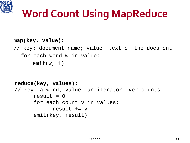

## **Word Count Using MapReduce**

#### **map(key, value):**

```
// key: document name; value: text of the document
for each word w in value:
   emit(w, 1)
```

```
reduce(key, values):
```

```
// key: a word; value: an iterator over counts
    result = 0for each count v in values:
          result += v
    emit(key, result)
```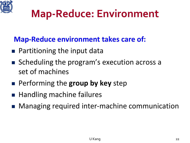

### **Map-Reduce: Environment**

#### **Map-Reduce environment takes care of:**

- Partitioning the input data
- Scheduling the program's execution across a set of machines
- Performing the **group by key** step
- Handling machine failures
- Managing required inter-machine communication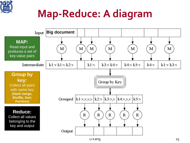

# **Map-Reduce: A diagram**

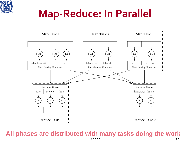

### **Map-Reduce: In Parallel**



#### U Kang 24 **All phases are distributed with many tasks doing the work**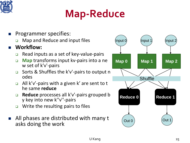

## **Map-Reduce**

- Programmer specifies:
	- Map and Reduce and input files
- **Workflow:**
	- $\Box$  Read inputs as a set of key-value-pairs
	- **Map** transforms input kv-pairs into a ne w set of k'v'-pairs
	- □ Sorts & Shuffles the k'v'-pairs to output n odes
	- □ All k'v'-pairs with a given k' are sent to t he same **reduce**
	- **Reduce** processes all k'v'-pairs grouped b y key into new k''v''-pairs
	- $\Box$  Write the resulting pairs to files
- All phases are distributed with many t asks doing the work

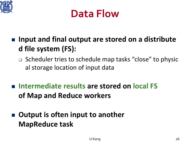



- **Input and final output are stored on a distribute d file system (FS):**
	- Scheduler tries to schedule map tasks "close" to physic al storage location of input data
- **Intermediate results are stored on local FS of Map and Reduce workers**
- Output is often input to another **MapReduce task**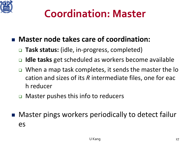

### **Coordination: Master**

- **Master node takes care of coordination:**
	- **Task status:** (idle, in-progress, completed)
	- **Idle tasks** get scheduled as workers become available
	- $\Box$  When a map task completes, it sends the master the lo cation and sizes of its *R* intermediate files, one for eac h reducer
	- $\Box$  Master pushes this info to reducers
- Master pings workers periodically to detect failur es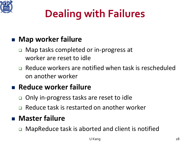

# **Dealing with Failures**

#### **Map worker failure**

- □ Map tasks completed or in-progress at worker are reset to idle
- □ Reduce workers are notified when task is rescheduled on another worker

#### **Reduce worker failure**

- □ Only in-progress tasks are reset to idle
- □ Reduce task is restarted on another worker

### **Master failure**

□ MapReduce task is aborted and client is notified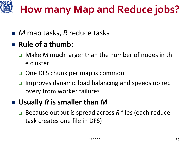

■ *M* map tasks, *R* reduce tasks

#### ■ Rule of a thumb:

- Make *M* much larger than the number of nodes in th e cluster
- □ One DFS chunk per map is common
- $\Box$  Improves dynamic load balancing and speeds up rec overy from worker failures
- **Usually** *R* **is smaller than** *M*
	- Because output is spread across *R* files (each reduce task creates one file in DFS)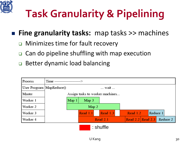

# **Task Granularity & Pipelining**

#### ■ Fine granularity tasks: map tasks >> machines

- **D** Minimizes time for fault recovery
- **□** Can do pipeline shuffling with map execution
- **□** Better dynamic load balancing

| Process                    | Time -----------------------    |                  |          |  |                 |                                |          |  |          |  |  |
|----------------------------|---------------------------------|------------------|----------|--|-----------------|--------------------------------|----------|--|----------|--|--|
| User Program   MapReduce() | wait                            |                  |          |  |                 |                                |          |  |          |  |  |
| Master                     | Assign tasks to worker machines |                  |          |  |                 |                                |          |  |          |  |  |
| Worker 1                   |                                 | Map 1            | Map $3$  |  |                 |                                |          |  |          |  |  |
| Worker 2                   |                                 | Map <sub>2</sub> |          |  |                 |                                |          |  |          |  |  |
| Worker 3                   |                                 |                  | Read 1.1 |  | <b>Read 1.3</b> |                                | Read 1.2 |  | Reduce 1 |  |  |
| Worker 4                   |                                 |                  | Read 2.1 |  |                 | Read $2.2$ Read $2.3$ Reduce 2 |          |  |          |  |  |
|                            |                                 |                  |          |  | $:$ shuffle     |                                |          |  |          |  |  |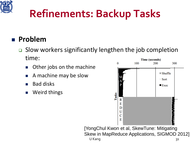

### **Refinements: Backup Tasks**

### **Problem**

- Slow workers significantly lengthen the job completion time: **Time (seconds)** 
	- **Other jobs on the machine**
	- A machine may be slow
	- Bad disks
	- Weird things

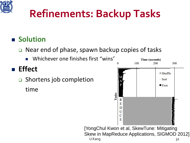

## **Refinements: Backup Tasks**

### ■ Solution

■ Near end of phase, spawn backup copies of tasks

Whichever one finishes first "wins"

### **Effect**

□ Shortens job completion time

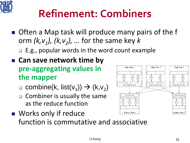

### **Refinement: Combiners**

■ Often a Map task will produce many pairs of the f orm  $(k, v_1)$ ,  $(k, v_2)$ , ... for the same key k

□ E.g., popular words in the word count example

- **Can save network time by pre-aggregating values in the mapper:**
	- **c** combine(k, list( $v_1$ ))  $\rightarrow$  (k, $v_2$ )
	- $\Box$  Combiner is usually the same as the reduce function
- **Norks only if reduce** Reduce Task 1 function is commutative and associative

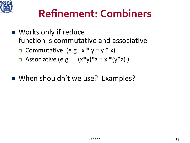

### **Refinement: Combiners**

- **Norks only if reduce** function is commutative and associative
	- **Q** Commutative (e.g.  $x * y = y * x$ )
	- Associative (e.g.  $(x*y)*z = x*(y*z)$ )
- When shouldn't we use? Examples?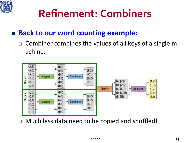

### **Refinement: Combiners**

#### **Back to our word counting example:**

 $\Box$  Combiner combines the values of all keys of a single m achine:



□ Much less data need to be copied and shuffled!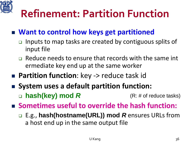# **Refinement: Partition Function**

### **Want to control how keys get partitioned**

- $\Box$  Inputs to map tasks are created by contiguous splits of input file
- $\Box$  Reduce needs to ensure that records with the same int ermediate key end up at the same worker
- **Partition function**: key -> reduce task id
- **System uses a default partition function: hash(key) mod** *R*
	- (R: # of reduce tasks)
- Sometimes useful to override the hash function:
	- E.g., **hash(hostname(URL)) mod** *R* ensures URLs from a host end up in the same output file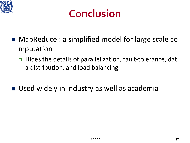

### **Conclusion**

- MapReduce : a simplified model for large scale co mputation
	- □ Hides the details of parallelization, fault-tolerance, dat a distribution, and load balancing
- **Used widely in industry as well as academia**